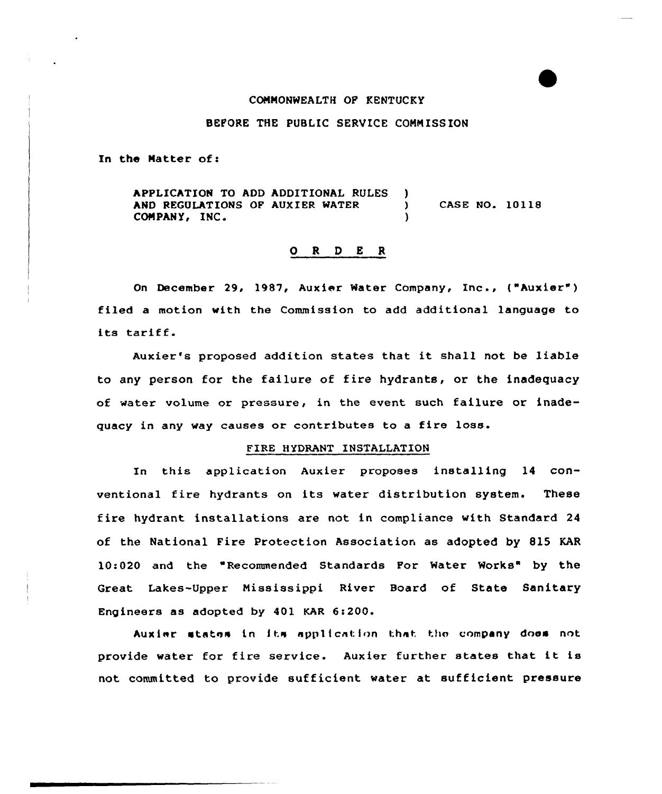## COMMONWEALTH OF KENTUCKY

# BEPQRE THE PUBLIC SERVICE COMMISSION

In the Matter of:

APPLICATION TO ADD ADDITIONAL RULES )<br>AND PEGULATIONS OF AUXIER WATER AND REGULATIONS OF AUXIER WATER ) CASE NO. 10118 COMPANY, INC.

# 0 <sup>R</sup> <sup>D</sup> E <sup>R</sup>

On December 29, 1987, Aux ier Water Company, Inc., ( "Auxier" ) filed a motian with the Commission to add additional language to its tariff.

Auxier's proposed additian states that it shall not be liable to any person for the failure of fire hydrants, or the inadequacy of water volume or pressure, in the event such failure or inadequacy in any way causes or contributes to a fire loss.

## FIRE HYDRANT INSTALLATION

In this application Auxier proposes installing 14 conventional fire hydrants on its water distribution system. These fire hydrant installations are not in compliance with Standard 24 of the National Fire Protection Association as adopted by 815 KAR 10:020 and the "Recommended Standards For Water Works" by the Great Lakes-Upper Mississippi River Board of State Sanitary Engineers as adopted by 401 KAR 6:200.

Auxier states in its application that the company does not provide water for fire service. Auxier further states that it is not committed to provide sufficient water at sufficient pressure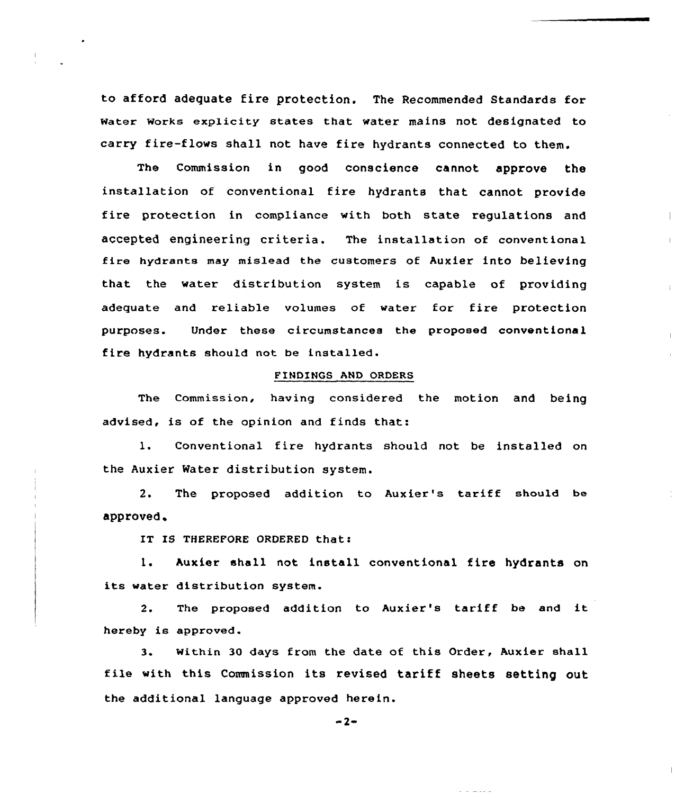to afford adequate fire protection. The Recommended Standards for water works explicity states that water mains not designated to carry fire-flows shall not have fire hydrants connected to them.

The Ccmmission in good conscience cannot approve the installation of conventional fire hydrants that. cannot provide fire protection in compliance with both state regulations and accepted engineering criteria. The installation of conventional fire hydrants may mislead the customers of Auxier into believing that the water distribution system is capable of providing adequate and reliable volumes of water for fire protection purposes. Under these circumstances the proposed conventional fire hydrants should not be installed.

 $\pm$ 

## FINDINGS AND ORDERS

The Commission, having considered the motion and being advised, is of the opinion and finds that:

1. Conventional fire hydrants should not be installed on the Auxier Water distribution system.

2. The proposed addition to Auxier's tariff should be approved

IT IS THEREPORE ORDERED that:

1. Auxier shall not install conventional fire hydrants on its water distribution system.

2. The proposed addition to Auxier's tariff be and it hereby is approved.

3. within 30 days from the date of this Order, Auxier shall file with this Commission its revised tariff sheets setting out the additional language approved herein.

 $-2-$